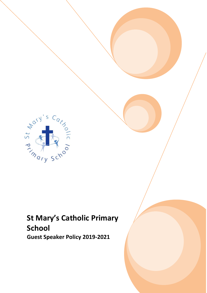

# **St Mary's Catholic Primary School**

**Guest Speaker Policy 2019-2021**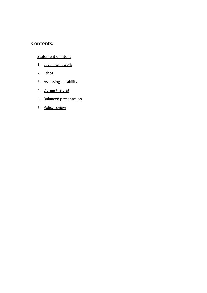### **Contents:**

### **[Statement of intent](#page-2-0)**

- 1. [Legal framework](#page-3-0)
- 2. [Ethos](#page-3-1)
- 3. [Assessing suitability](#page-4-0)
- 4. [During the visit](#page-5-0)
- 5. [Balanced presentation](#page-5-1)
- 6. [Policy review](#page-5-2)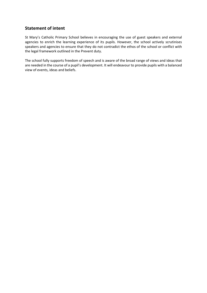### <span id="page-2-0"></span>**Statement of intent**

St Mary's Catholic Primary School believes in encouraging the use of guest speakers and external agencies to enrich the learning experience of its pupils. However, the school actively scrutinises speakers and agencies to ensure that they do not contradict the ethos of the school or conflict with the legal framework outlined in the Prevent duty.

The school fully supports freedom of speech and is aware of the broad range of views and ideas that are needed in the course of a pupil's development. It will endeavour to provide pupils with a balanced view of events, ideas and beliefs.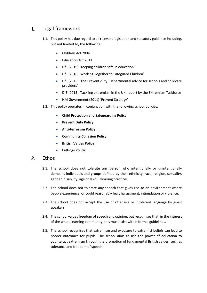#### <span id="page-3-0"></span>Legal framework 1.

- 1.1. This policy has due regard to all relevant legislation and statutory guidance including, but not limited to, the following:
	- Children Act 2004
	- Education Act 2011
	- DfE (2019) 'Keeping children safe in education'
	- DfE (2018) 'Working Together to Safeguard Children'
	- DfE (2015) 'The Prevent duty: Departmental advice for schools and childcare providers'
	- DfE (2013) 'Tackling extremism in the UK: report by the Extremism Taskforce
	- HM Government (2011) 'Prevent Strategy'
- 1.2. This policy operates in conjunction with the following school policies:
	- **Child Protection and Safeguarding Policy**
	- **•** Prevent Duty Policy
	- **Anti-terrorism Policy**
	- **Community Cohesion Policy**
	- **British Values Policy**
	- **Lettings Policy**

#### <span id="page-3-1"></span> $2<sub>1</sub>$ **Ethos**

- 2.1. The school does not tolerate any person who intentionally or unintentionally demeans individuals and groups defined by their ethnicity, race, religion, sexuality, gender, disability, age or lawful working practices.
- 2.2. The school does not tolerate any speech that gives rise to an environment where people experience, or could reasonably fear, harassment, intimidation or violence.
- 2.3. The school does not accept the use of offensive or intolerant language by guest speakers.
- 2.4. The school values freedom of speech and opinion, but recognises that, in the interest of the whole learning community, this must exist within formal guidelines.
- 2.5. The school recognises that extremism and exposure to extremist beliefs can lead to poorer outcomes for pupils. The school aims to use the power of education to counteract extremism through the promotion of fundamental British values, such as tolerance and freedom of speech.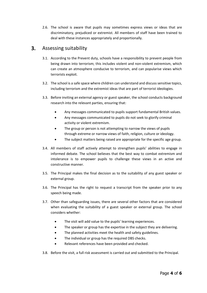2.6. The school is aware that pupils may sometimes express views or ideas that are discriminatory, prejudiced or extremist. All members of staff have been trained to deal with these instances appropriately and proportionally.

#### <span id="page-4-0"></span> $3<sub>1</sub>$ Assessing suitability

- 3.1. According to the Prevent duty, schools have a responsibility to prevent people from being drawn into terrorism; this includes violent and non-violent extremism, which can create an atmosphere conducive to terrorism, and can popularise views which terrorists exploit.
- 3.2. The school is a safe space where children can understand and discuss sensitive topics, including terrorism and the extremist ideas that are part of terrorist ideologies.
- 3.3. Before inviting an external agency or guest speaker, the school conducts background research into the relevant parties, ensuring that:
	- Any messages communicated to pupils support fundamental British values.
	- Any messages communicated to pupils do not seek to glorify criminal activity or violent extremism.
	- The group or person is not attempting to narrow the views of pupils through extreme or narrow views of faith, religion, culture or ideology.
	- The subject matters being raised are appropriate for the specific age group.
- 3.4. All members of staff actively attempt to strengthen pupils' abilities to engage in informed debate. The school believes that the best way to combat extremism and intolerance is to empower pupils to challenge these views in an active and constructive manner.
- 3.5. The Principal makes the final decision as to the suitability of any guest speaker or external group.
- 3.6. The Principal has the right to request a transcript from the speaker prior to any speech being made.
- 3.7. Other than safeguarding issues, there are several other factors that are considered when evaluating the suitability of a guest speaker or external group. The school considers whether:
	- The visit will add value to the pupils' learning experiences.
	- The speaker or group has the expertise in the subject they are delivering.
	- The planned activities meet the health and safety guidelines.
	- The individual or group has the required DBS checks.
	- Relevant references have been provided and checked.
- 3.8. Before the visit, a full risk assessment is carried out and submitted to the Principal.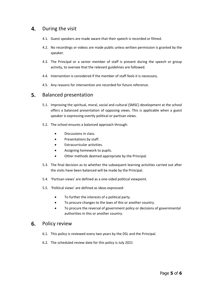#### <span id="page-5-0"></span>4. During the visit

- 4.1. Guest speakers are made aware that their speech is recorded or filmed.
- 4.2. No recordings or videos are made public unless written permission is granted by the speaker.
- 4.3. The Principal or a senior member of staff is present during the speech or group activity, to oversee that the relevant guidelines are followed.
- 4.4. Intervention is considered if the member of staff feels it is necessary.
- 4.5. Any reasons for intervention are recorded for future reference.

#### <span id="page-5-1"></span>5. Balanced presentation

- 5.1. Improving the spiritual, moral, social and cultural (SMSC) development at the school offers a balanced presentation of opposing views. This is applicable when a guest speaker is expressing overtly political or partisan views.
- 5.2. The school ensures a balanced approach through:
	- Discussions in class.
	- Presentations by staff.
	- Extracurricular activities.
	- Assigning homework to pupils.
	- Other methods deemed appropriate by the Principal.
- 5.3. The final decision as to whether the subsequent learning activities carried out after the visits have been balanced will be made by the Principal.
- 5.4. 'Partisan views' are defined as a one-sided political viewpoint.
- 5.5. 'Political views' are defined as ideas expressed:
	- To further the interests of a political party.
	- To procure changes to the laws of this or another country.
	- To procure the reversal of government policy or decisions of governmental authorities in this or another country.

#### <span id="page-5-2"></span>Policy review 6.

- 6.1. This policy is reviewed every two years by the DSL and the Principal.
- 6.2. The scheduled review date for this policy is July 2021